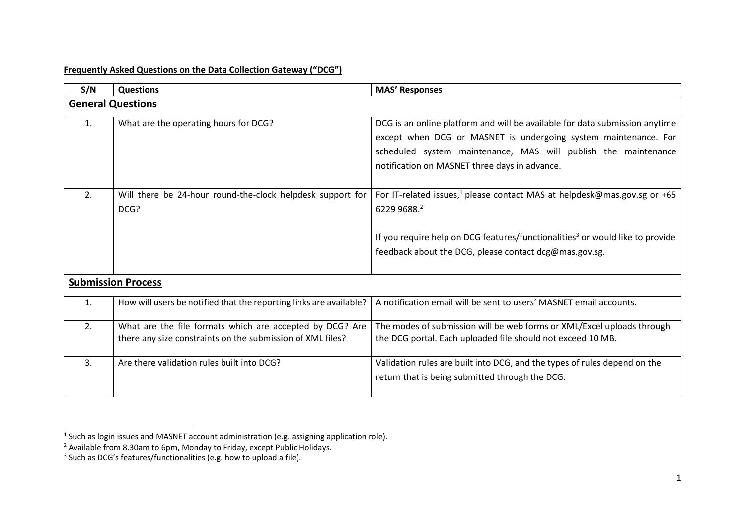## **Frequently Asked Questions on the Data Collection Gateway ("DCG")**

| S/N            | <b>Questions</b>                                                                                                       | <b>MAS' Responses</b>                                                                                                                                                                                                                                             |  |
|----------------|------------------------------------------------------------------------------------------------------------------------|-------------------------------------------------------------------------------------------------------------------------------------------------------------------------------------------------------------------------------------------------------------------|--|
|                | <b>General Questions</b>                                                                                               |                                                                                                                                                                                                                                                                   |  |
| 1.             | What are the operating hours for DCG?                                                                                  | DCG is an online platform and will be available for data submission anytime<br>except when DCG or MASNET is undergoing system maintenance. For<br>scheduled system maintenance, MAS will publish the maintenance<br>notification on MASNET three days in advance. |  |
| 2.             | Will there be 24-hour round-the-clock helpdesk support for<br>DCG?                                                     | For IT-related issues, <sup>1</sup> please contact MAS at helpdesk@mas.gov.sg or +65<br>6229 9688.2<br>If you require help on DCG features/functionalities <sup>3</sup> or would like to provide<br>feedback about the DCG, please contact dcg@mas.gov.sg.        |  |
|                | <b>Submission Process</b>                                                                                              |                                                                                                                                                                                                                                                                   |  |
| 1.             | How will users be notified that the reporting links are available?                                                     | A notification email will be sent to users' MASNET email accounts.                                                                                                                                                                                                |  |
| 2.             | What are the file formats which are accepted by DCG? Are<br>there any size constraints on the submission of XML files? | The modes of submission will be web forms or XML/Excel uploads through<br>the DCG portal. Each uploaded file should not exceed 10 MB.                                                                                                                             |  |
| 3 <sub>1</sub> | Are there validation rules built into DCG?                                                                             | Validation rules are built into DCG, and the types of rules depend on the<br>return that is being submitted through the DCG.                                                                                                                                      |  |

 $<sup>1</sup>$  Such as login issues and MASNET account administration (e.g. assigning application role).</sup>

 $^2$  Available from 8.30am to 6pm, Monday to Friday, except Public Holidays.

<sup>&</sup>lt;sup>3</sup> Such as DCG's features/functionalities (e.g. how to upload a file).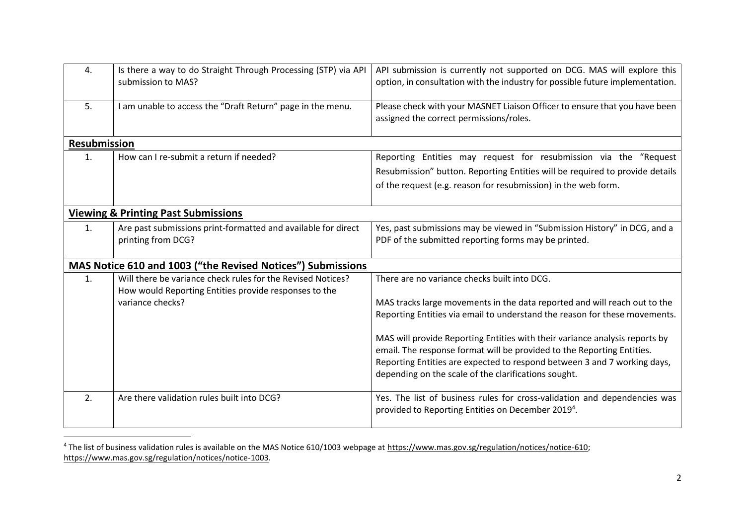| 4.                  | Is there a way to do Straight Through Processing (STP) via API<br>submission to MAS?                                 | API submission is currently not supported on DCG. MAS will explore this<br>option, in consultation with the industry for possible future implementation. |
|---------------------|----------------------------------------------------------------------------------------------------------------------|----------------------------------------------------------------------------------------------------------------------------------------------------------|
| 5.                  | I am unable to access the "Draft Return" page in the menu.                                                           | Please check with your MASNET Liaison Officer to ensure that you have been<br>assigned the correct permissions/roles.                                    |
| <b>Resubmission</b> |                                                                                                                      |                                                                                                                                                          |
| 1.                  | How can I re-submit a return if needed?                                                                              | Reporting Entities may request for resubmission via the "Request                                                                                         |
|                     |                                                                                                                      | Resubmission" button. Reporting Entities will be required to provide details                                                                             |
|                     |                                                                                                                      | of the request (e.g. reason for resubmission) in the web form.                                                                                           |
|                     | <b>Viewing &amp; Printing Past Submissions</b>                                                                       |                                                                                                                                                          |
| 1.                  | Are past submissions print-formatted and available for direct<br>printing from DCG?                                  | Yes, past submissions may be viewed in "Submission History" in DCG, and a<br>PDF of the submitted reporting forms may be printed.                        |
|                     | MAS Notice 610 and 1003 ("the Revised Notices") Submissions                                                          |                                                                                                                                                          |
| $\mathbf{1}$ .      | Will there be variance check rules for the Revised Notices?<br>How would Reporting Entities provide responses to the | There are no variance checks built into DCG.                                                                                                             |
|                     | variance checks?                                                                                                     | MAS tracks large movements in the data reported and will reach out to the<br>Reporting Entities via email to understand the reason for these movements.  |
|                     |                                                                                                                      | MAS will provide Reporting Entities with their variance analysis reports by<br>email. The response format will be provided to the Reporting Entities.    |
|                     |                                                                                                                      | Reporting Entities are expected to respond between 3 and 7 working days,<br>depending on the scale of the clarifications sought.                         |
| 2.                  | Are there validation rules built into DCG?                                                                           | Yes. The list of business rules for cross-validation and dependencies was<br>provided to Reporting Entities on December 2019 <sup>4</sup> .              |

<sup>4</sup> The list of business validation rules is available on the MAS Notice 610/1003 webpage at [https://www.mas.gov.sg/regulation/notices/notice-610;](https://www.mas.gov.sg/regulation/notices/notice-610) [https://www.mas.gov.sg/regulation/notices/notice-1003.](https://www.mas.gov.sg/regulation/notices/notice-1003)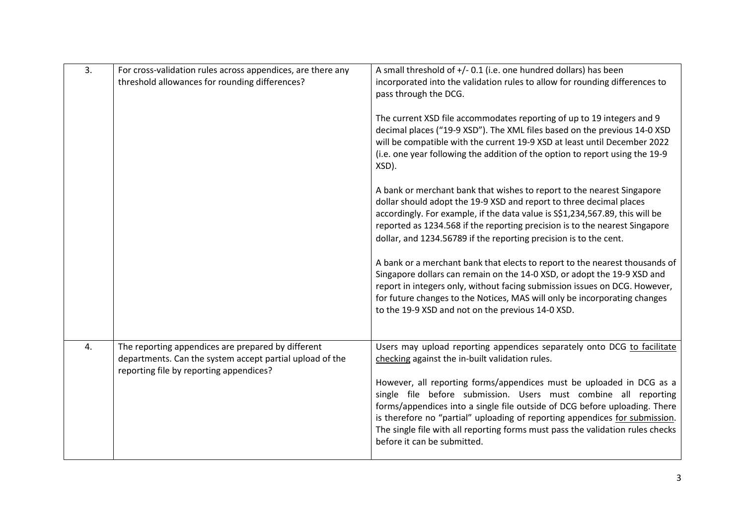| 3. | For cross-validation rules across appendices, are there any<br>threshold allowances for rounding differences?                                             | A small threshold of +/- 0.1 (i.e. one hundred dollars) has been<br>incorporated into the validation rules to allow for rounding differences to<br>pass through the DCG.<br>The current XSD file accommodates reporting of up to 19 integers and 9<br>decimal places ("19-9 XSD"). The XML files based on the previous 14-0 XSD<br>will be compatible with the current 19-9 XSD at least until December 2022<br>(i.e. one year following the addition of the option to report using the 19-9<br>XSD).<br>A bank or merchant bank that wishes to report to the nearest Singapore<br>dollar should adopt the 19-9 XSD and report to three decimal places<br>accordingly. For example, if the data value is S\$1,234,567.89, this will be<br>reported as 1234.568 if the reporting precision is to the nearest Singapore<br>dollar, and 1234.56789 if the reporting precision is to the cent.<br>A bank or a merchant bank that elects to report to the nearest thousands of<br>Singapore dollars can remain on the 14-0 XSD, or adopt the 19-9 XSD and |
|----|-----------------------------------------------------------------------------------------------------------------------------------------------------------|------------------------------------------------------------------------------------------------------------------------------------------------------------------------------------------------------------------------------------------------------------------------------------------------------------------------------------------------------------------------------------------------------------------------------------------------------------------------------------------------------------------------------------------------------------------------------------------------------------------------------------------------------------------------------------------------------------------------------------------------------------------------------------------------------------------------------------------------------------------------------------------------------------------------------------------------------------------------------------------------------------------------------------------------------|
|    |                                                                                                                                                           | report in integers only, without facing submission issues on DCG. However,<br>for future changes to the Notices, MAS will only be incorporating changes<br>to the 19-9 XSD and not on the previous 14-0 XSD.                                                                                                                                                                                                                                                                                                                                                                                                                                                                                                                                                                                                                                                                                                                                                                                                                                         |
| 4. | The reporting appendices are prepared by different<br>departments. Can the system accept partial upload of the<br>reporting file by reporting appendices? | Users may upload reporting appendices separately onto DCG to facilitate<br>checking against the in-built validation rules.<br>However, all reporting forms/appendices must be uploaded in DCG as a<br>single file before submission. Users must combine all reporting<br>forms/appendices into a single file outside of DCG before uploading. There<br>is therefore no "partial" uploading of reporting appendices for submission.<br>The single file with all reporting forms must pass the validation rules checks<br>before it can be submitted.                                                                                                                                                                                                                                                                                                                                                                                                                                                                                                  |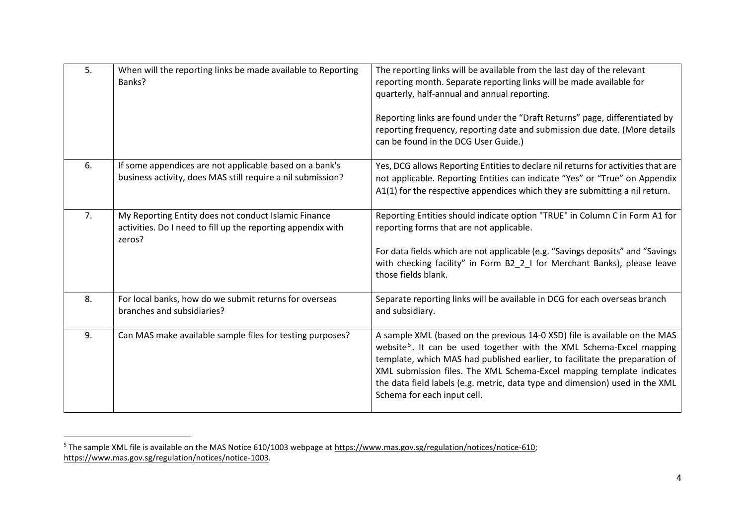| 5. | When will the reporting links be made available to Reporting<br>Banks?                                                         | The reporting links will be available from the last day of the relevant<br>reporting month. Separate reporting links will be made available for<br>quarterly, half-annual and annual reporting.<br>Reporting links are found under the "Draft Returns" page, differentiated by<br>reporting frequency, reporting date and submission due date. (More details<br>can be found in the DCG User Guide.)                                  |
|----|--------------------------------------------------------------------------------------------------------------------------------|---------------------------------------------------------------------------------------------------------------------------------------------------------------------------------------------------------------------------------------------------------------------------------------------------------------------------------------------------------------------------------------------------------------------------------------|
| 6. | If some appendices are not applicable based on a bank's<br>business activity, does MAS still require a nil submission?         | Yes, DCG allows Reporting Entities to declare nil returns for activities that are<br>not applicable. Reporting Entities can indicate "Yes" or "True" on Appendix<br>A1(1) for the respective appendices which they are submitting a nil return.                                                                                                                                                                                       |
| 7. | My Reporting Entity does not conduct Islamic Finance<br>activities. Do I need to fill up the reporting appendix with<br>zeros? | Reporting Entities should indicate option "TRUE" in Column C in Form A1 for<br>reporting forms that are not applicable.<br>For data fields which are not applicable (e.g. "Savings deposits" and "Savings<br>with checking facility" in Form B2_2_I for Merchant Banks), please leave<br>those fields blank.                                                                                                                          |
| 8. | For local banks, how do we submit returns for overseas<br>branches and subsidiaries?                                           | Separate reporting links will be available in DCG for each overseas branch<br>and subsidiary.                                                                                                                                                                                                                                                                                                                                         |
| 9. | Can MAS make available sample files for testing purposes?                                                                      | A sample XML (based on the previous 14-0 XSD) file is available on the MAS<br>website <sup>5</sup> . It can be used together with the XML Schema-Excel mapping<br>template, which MAS had published earlier, to facilitate the preparation of<br>XML submission files. The XML Schema-Excel mapping template indicates<br>the data field labels (e.g. metric, data type and dimension) used in the XML<br>Schema for each input cell. |

<sup>&</sup>lt;sup>5</sup> The sample XML file is available on the MAS Notice 610/1003 webpage at [https://www.mas.gov.sg/regulation/notices/notice-610;](https://www.mas.gov.sg/regulation/notices/notice-610) [https://www.mas.gov.sg/regulation/notices/notice-1003.](https://www.mas.gov.sg/regulation/notices/notice-1003)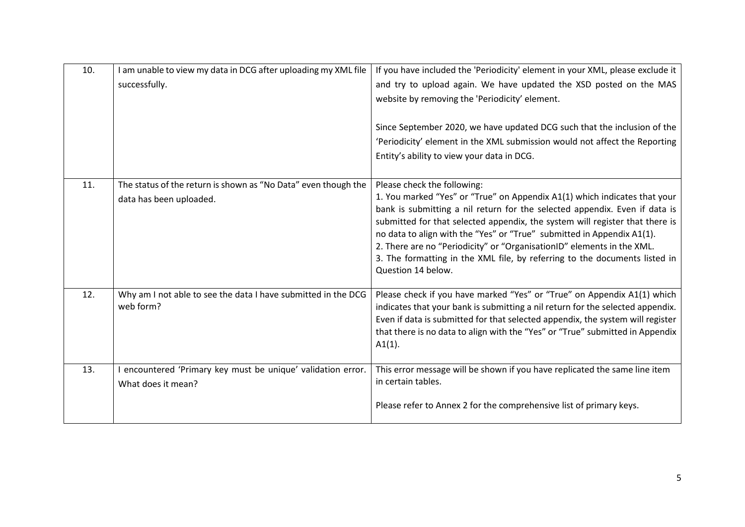| 10. | I am unable to view my data in DCG after uploading my XML file<br>successfully.           | If you have included the 'Periodicity' element in your XML, please exclude it<br>and try to upload again. We have updated the XSD posted on the MAS<br>website by removing the 'Periodicity' element.<br>Since September 2020, we have updated DCG such that the inclusion of the<br>'Periodicity' element in the XML submission would not affect the Reporting<br>Entity's ability to view your data in DCG.                                                                                                                  |
|-----|-------------------------------------------------------------------------------------------|--------------------------------------------------------------------------------------------------------------------------------------------------------------------------------------------------------------------------------------------------------------------------------------------------------------------------------------------------------------------------------------------------------------------------------------------------------------------------------------------------------------------------------|
| 11. | The status of the return is shown as "No Data" even though the<br>data has been uploaded. | Please check the following:<br>1. You marked "Yes" or "True" on Appendix A1(1) which indicates that your<br>bank is submitting a nil return for the selected appendix. Even if data is<br>submitted for that selected appendix, the system will register that there is<br>no data to align with the "Yes" or "True" submitted in Appendix A1(1).<br>2. There are no "Periodicity" or "OrganisationID" elements in the XML.<br>3. The formatting in the XML file, by referring to the documents listed in<br>Question 14 below. |
| 12. | Why am I not able to see the data I have submitted in the DCG<br>web form?                | Please check if you have marked "Yes" or "True" on Appendix A1(1) which<br>indicates that your bank is submitting a nil return for the selected appendix.<br>Even if data is submitted for that selected appendix, the system will register<br>that there is no data to align with the "Yes" or "True" submitted in Appendix<br>$A1(1)$ .                                                                                                                                                                                      |
| 13. | encountered 'Primary key must be unique' validation error.<br>What does it mean?          | This error message will be shown if you have replicated the same line item<br>in certain tables.<br>Please refer to Annex 2 for the comprehensive list of primary keys.                                                                                                                                                                                                                                                                                                                                                        |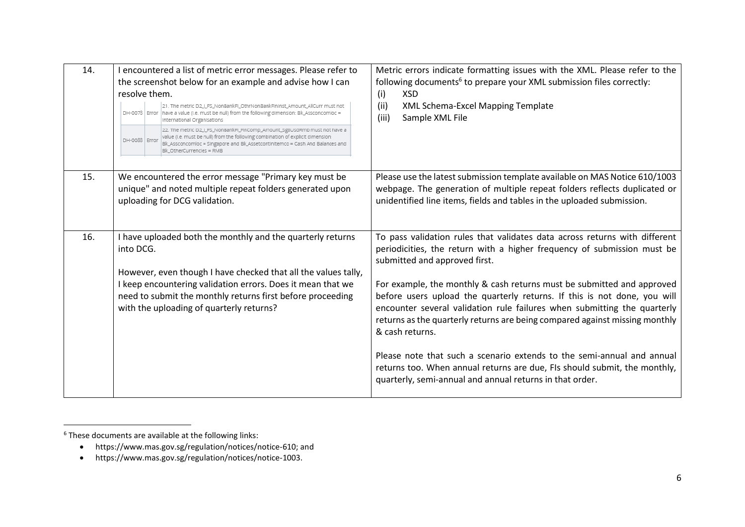| 14. | I encountered a list of metric error messages. Please refer to<br>the screenshot below for an example and advise how I can<br>resolve them.<br>21. The metric D2_LFS_NonBankFl_OthrNonBankFininst_Amount_AllCurr must not<br>DH-0078 Error have a value (i.e. must be null) from the following dimension: Bk_Assconcomloc =<br>International Organisations<br>22. The metric D2_LFS_NonBankFL_FinComp_Amount_SgdUsdRmb must not have a<br>value (i.e. must be null) from the following combination of explicit dimension:<br>DH-0088 Error<br>Bk_Assconcomloc = Singapore and Bk_Assetcontinitemco = Cash And Balances and<br>Bk OtherCurrencles = RMB | Metric errors indicate formatting issues with the XML. Please refer to the<br>following documents <sup>6</sup> to prepare your XML submission files correctly:<br>XSD<br>(i)<br>(ii)<br>XML Schema-Excel Mapping Template<br>(iii)<br>Sample XML File                                                                                                                                                                                                                                                   |
|-----|--------------------------------------------------------------------------------------------------------------------------------------------------------------------------------------------------------------------------------------------------------------------------------------------------------------------------------------------------------------------------------------------------------------------------------------------------------------------------------------------------------------------------------------------------------------------------------------------------------------------------------------------------------|---------------------------------------------------------------------------------------------------------------------------------------------------------------------------------------------------------------------------------------------------------------------------------------------------------------------------------------------------------------------------------------------------------------------------------------------------------------------------------------------------------|
| 15. | We encountered the error message "Primary key must be<br>unique" and noted multiple repeat folders generated upon<br>uploading for DCG validation.                                                                                                                                                                                                                                                                                                                                                                                                                                                                                                     | Please use the latest submission template available on MAS Notice 610/1003<br>webpage. The generation of multiple repeat folders reflects duplicated or<br>unidentified line items, fields and tables in the uploaded submission.                                                                                                                                                                                                                                                                       |
| 16. | I have uploaded both the monthly and the quarterly returns<br>into DCG.<br>However, even though I have checked that all the values tally,<br>I keep encountering validation errors. Does it mean that we<br>need to submit the monthly returns first before proceeding<br>with the uploading of quarterly returns?                                                                                                                                                                                                                                                                                                                                     | To pass validation rules that validates data across returns with different<br>periodicities, the return with a higher frequency of submission must be<br>submitted and approved first.<br>For example, the monthly & cash returns must be submitted and approved<br>before users upload the quarterly returns. If this is not done, you will<br>encounter several validation rule failures when submitting the quarterly<br>returns as the quarterly returns are being compared against missing monthly |
|     |                                                                                                                                                                                                                                                                                                                                                                                                                                                                                                                                                                                                                                                        | & cash returns.<br>Please note that such a scenario extends to the semi-annual and annual<br>returns too. When annual returns are due, FIs should submit, the monthly,<br>quarterly, semi-annual and annual returns in that order.                                                                                                                                                                                                                                                                      |

 $6$  These documents are available at the following links:

<sup>•</sup> https://www.mas.gov.sg/regulation/notices/notice-610; and

<sup>•</sup> https://www.mas.gov.sg/regulation/notices/notice-1003.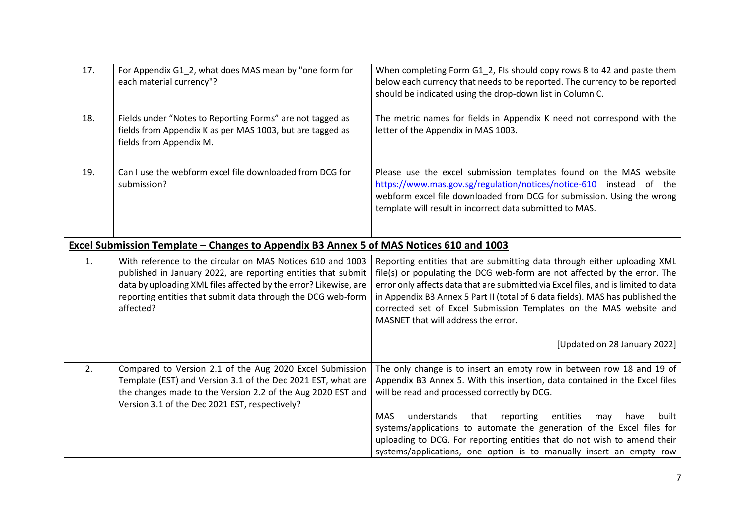| 17. | For Appendix G1 2, what does MAS mean by "one form for<br>each material currency"?                                                                                                                                                                                           | When completing Form G1 2, FIs should copy rows 8 to 42 and paste them<br>below each currency that needs to be reported. The currency to be reported<br>should be indicated using the drop-down list in Column C.                                                                                                                                                                                                                                |
|-----|------------------------------------------------------------------------------------------------------------------------------------------------------------------------------------------------------------------------------------------------------------------------------|--------------------------------------------------------------------------------------------------------------------------------------------------------------------------------------------------------------------------------------------------------------------------------------------------------------------------------------------------------------------------------------------------------------------------------------------------|
| 18. | Fields under "Notes to Reporting Forms" are not tagged as<br>fields from Appendix K as per MAS 1003, but are tagged as<br>fields from Appendix M.                                                                                                                            | The metric names for fields in Appendix K need not correspond with the<br>letter of the Appendix in MAS 1003.                                                                                                                                                                                                                                                                                                                                    |
| 19. | Can I use the webform excel file downloaded from DCG for<br>submission?                                                                                                                                                                                                      | Please use the excel submission templates found on the MAS website<br>https://www.mas.gov.sg/regulation/notices/notice-610 instead of the<br>webform excel file downloaded from DCG for submission. Using the wrong<br>template will result in incorrect data submitted to MAS.                                                                                                                                                                  |
|     | Excel Submission Template – Changes to Appendix B3 Annex 5 of MAS Notices 610 and 1003                                                                                                                                                                                       |                                                                                                                                                                                                                                                                                                                                                                                                                                                  |
| 1.  | With reference to the circular on MAS Notices 610 and 1003<br>published in January 2022, are reporting entities that submit<br>data by uploading XML files affected by the error? Likewise, are<br>reporting entities that submit data through the DCG web-form<br>affected? | Reporting entities that are submitting data through either uploading XML<br>file(s) or populating the DCG web-form are not affected by the error. The<br>error only affects data that are submitted via Excel files, and is limited to data<br>in Appendix B3 Annex 5 Part II (total of 6 data fields). MAS has published the<br>corrected set of Excel Submission Templates on the MAS website and<br>MASNET that will address the error.       |
|     |                                                                                                                                                                                                                                                                              | [Updated on 28 January 2022]                                                                                                                                                                                                                                                                                                                                                                                                                     |
| 2.  | Compared to Version 2.1 of the Aug 2020 Excel Submission<br>Template (EST) and Version 3.1 of the Dec 2021 EST, what are<br>the changes made to the Version 2.2 of the Aug 2020 EST and<br>Version 3.1 of the Dec 2021 EST, respectively?                                    | The only change is to insert an empty row in between row 18 and 19 of<br>Appendix B3 Annex 5. With this insertion, data contained in the Excel files<br>will be read and processed correctly by DCG.<br><b>MAS</b><br>understands<br>reporting<br>that<br>entities<br>built<br>may<br>have<br>systems/applications to automate the generation of the Excel files for<br>uploading to DCG. For reporting entities that do not wish to amend their |
|     |                                                                                                                                                                                                                                                                              | systems/applications, one option is to manually insert an empty row                                                                                                                                                                                                                                                                                                                                                                              |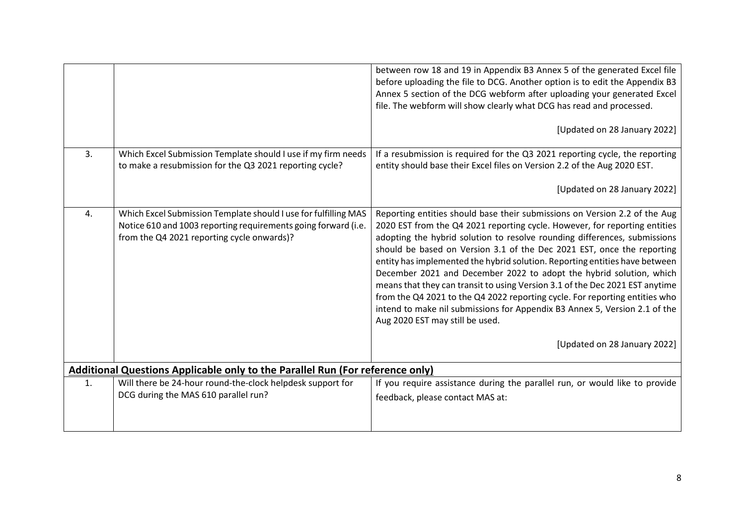|                                                                                                                                                                                 | between row 18 and 19 in Appendix B3 Annex 5 of the generated Excel file<br>before uploading the file to DCG. Another option is to edit the Appendix B3<br>Annex 5 section of the DCG webform after uploading your generated Excel<br>file. The webform will show clearly what DCG has read and processed.<br>[Updated on 28 January 2022]                                                                                                                                                                                                                                                                                                                                                                                                                                            |
|---------------------------------------------------------------------------------------------------------------------------------------------------------------------------------|---------------------------------------------------------------------------------------------------------------------------------------------------------------------------------------------------------------------------------------------------------------------------------------------------------------------------------------------------------------------------------------------------------------------------------------------------------------------------------------------------------------------------------------------------------------------------------------------------------------------------------------------------------------------------------------------------------------------------------------------------------------------------------------|
| Which Excel Submission Template should I use if my firm needs                                                                                                                   | If a resubmission is required for the Q3 2021 reporting cycle, the reporting                                                                                                                                                                                                                                                                                                                                                                                                                                                                                                                                                                                                                                                                                                          |
|                                                                                                                                                                                 | entity should base their Excel files on Version 2.2 of the Aug 2020 EST.                                                                                                                                                                                                                                                                                                                                                                                                                                                                                                                                                                                                                                                                                                              |
|                                                                                                                                                                                 | [Updated on 28 January 2022]                                                                                                                                                                                                                                                                                                                                                                                                                                                                                                                                                                                                                                                                                                                                                          |
| Which Excel Submission Template should I use for fulfilling MAS<br>Notice 610 and 1003 reporting requirements going forward (i.e.<br>from the Q4 2021 reporting cycle onwards)? | Reporting entities should base their submissions on Version 2.2 of the Aug<br>2020 EST from the Q4 2021 reporting cycle. However, for reporting entities<br>adopting the hybrid solution to resolve rounding differences, submissions<br>should be based on Version 3.1 of the Dec 2021 EST, once the reporting<br>entity has implemented the hybrid solution. Reporting entities have between<br>December 2021 and December 2022 to adopt the hybrid solution, which<br>means that they can transit to using Version 3.1 of the Dec 2021 EST anytime<br>from the Q4 2021 to the Q4 2022 reporting cycle. For reporting entities who<br>intend to make nil submissions for Appendix B3 Annex 5, Version 2.1 of the<br>Aug 2020 EST may still be used.<br>[Updated on 28 January 2022] |
|                                                                                                                                                                                 |                                                                                                                                                                                                                                                                                                                                                                                                                                                                                                                                                                                                                                                                                                                                                                                       |
|                                                                                                                                                                                 | If you require assistance during the parallel run, or would like to provide                                                                                                                                                                                                                                                                                                                                                                                                                                                                                                                                                                                                                                                                                                           |
| DCG during the MAS 610 parallel run?                                                                                                                                            | feedback, please contact MAS at:                                                                                                                                                                                                                                                                                                                                                                                                                                                                                                                                                                                                                                                                                                                                                      |
|                                                                                                                                                                                 | to make a resubmission for the Q3 2021 reporting cycle?<br><b>Additional Questions Applicable only to the Parallel Run (For reference only)</b><br>Will there be 24-hour round-the-clock helpdesk support for                                                                                                                                                                                                                                                                                                                                                                                                                                                                                                                                                                         |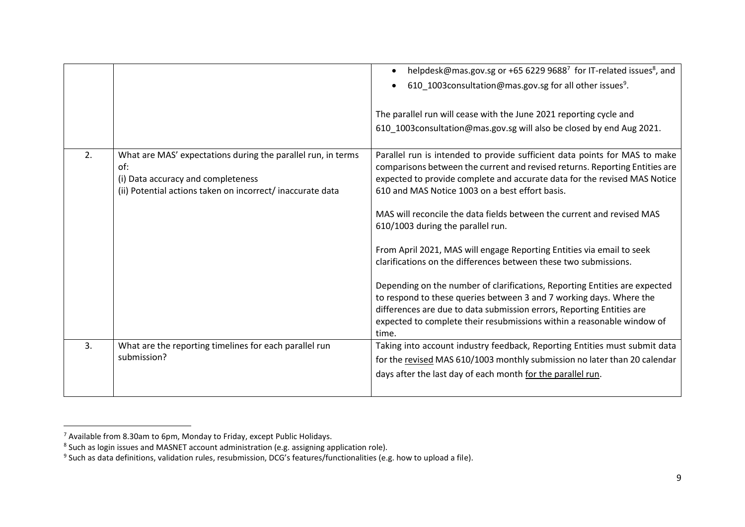|    |                                                                                                                                                                         | helpdesk@mas.gov.sg or +65 6229 96887 for IT-related issues <sup>8</sup> , and<br>610_1003consultation@mas.gov.sg for all other issues <sup>9</sup> .<br>The parallel run will cease with the June 2021 reporting cycle and<br>610_1003consultation@mas.gov.sg will also be closed by end Aug 2021.                                                                                                                                                                                                                                                                                                                                                                                                                                                                                                                                                                    |
|----|-------------------------------------------------------------------------------------------------------------------------------------------------------------------------|------------------------------------------------------------------------------------------------------------------------------------------------------------------------------------------------------------------------------------------------------------------------------------------------------------------------------------------------------------------------------------------------------------------------------------------------------------------------------------------------------------------------------------------------------------------------------------------------------------------------------------------------------------------------------------------------------------------------------------------------------------------------------------------------------------------------------------------------------------------------|
| 2. | What are MAS' expectations during the parallel run, in terms<br>of:<br>(i) Data accuracy and completeness<br>(ii) Potential actions taken on incorrect/ inaccurate data | Parallel run is intended to provide sufficient data points for MAS to make<br>comparisons between the current and revised returns. Reporting Entities are<br>expected to provide complete and accurate data for the revised MAS Notice<br>610 and MAS Notice 1003 on a best effort basis.<br>MAS will reconcile the data fields between the current and revised MAS<br>610/1003 during the parallel run.<br>From April 2021, MAS will engage Reporting Entities via email to seek<br>clarifications on the differences between these two submissions.<br>Depending on the number of clarifications, Reporting Entities are expected<br>to respond to these queries between 3 and 7 working days. Where the<br>differences are due to data submission errors, Reporting Entities are<br>expected to complete their resubmissions within a reasonable window of<br>time. |
| 3. | What are the reporting timelines for each parallel run<br>submission?                                                                                                   | Taking into account industry feedback, Reporting Entities must submit data<br>for the revised MAS 610/1003 monthly submission no later than 20 calendar<br>days after the last day of each month for the parallel run.                                                                                                                                                                                                                                                                                                                                                                                                                                                                                                                                                                                                                                                 |

<sup>&</sup>lt;sup>7</sup> Available from 8.30am to 6pm, Monday to Friday, except Public Holidays.<br><sup>8</sup> Such as login issues and MASNET account administration (e.g. assigning application role).<br><sup>9</sup> Such as data definitions, validation rules, resu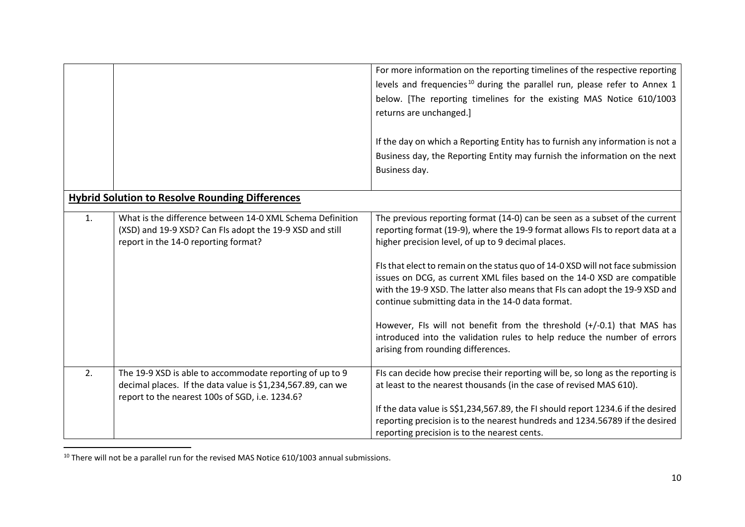|    |                                                                                                                                                                            | For more information on the reporting timelines of the respective reporting<br>levels and frequencies <sup>10</sup> during the parallel run, please refer to Annex 1<br>below. [The reporting timelines for the existing MAS Notice 610/1003<br>returns are unchanged.]<br>If the day on which a Reporting Entity has to furnish any information is not a<br>Business day, the Reporting Entity may furnish the information on the next<br>Business day.                                                                                                                                                                                                                                                             |
|----|----------------------------------------------------------------------------------------------------------------------------------------------------------------------------|----------------------------------------------------------------------------------------------------------------------------------------------------------------------------------------------------------------------------------------------------------------------------------------------------------------------------------------------------------------------------------------------------------------------------------------------------------------------------------------------------------------------------------------------------------------------------------------------------------------------------------------------------------------------------------------------------------------------|
|    | <b>Hybrid Solution to Resolve Rounding Differences</b>                                                                                                                     |                                                                                                                                                                                                                                                                                                                                                                                                                                                                                                                                                                                                                                                                                                                      |
| 1. | What is the difference between 14-0 XML Schema Definition<br>(XSD) and 19-9 XSD? Can FIs adopt the 19-9 XSD and still<br>report in the 14-0 reporting format?              | The previous reporting format (14-0) can be seen as a subset of the current<br>reporting format (19-9), where the 19-9 format allows FIs to report data at a<br>higher precision level, of up to 9 decimal places.<br>FIs that elect to remain on the status quo of 14-0 XSD will not face submission<br>issues on DCG, as current XML files based on the 14-0 XSD are compatible<br>with the 19-9 XSD. The latter also means that FIs can adopt the 19-9 XSD and<br>continue submitting data in the 14-0 data format.<br>However, FIs will not benefit from the threshold $(+/-0.1)$ that MAS has<br>introduced into the validation rules to help reduce the number of errors<br>arising from rounding differences. |
| 2. | The 19-9 XSD is able to accommodate reporting of up to 9<br>decimal places. If the data value is \$1,234,567.89, can we<br>report to the nearest 100s of SGD, i.e. 1234.6? | FIs can decide how precise their reporting will be, so long as the reporting is<br>at least to the nearest thousands (in the case of revised MAS 610).<br>If the data value is S\$1,234,567.89, the FI should report 1234.6 if the desired<br>reporting precision is to the nearest hundreds and 1234.56789 if the desired<br>reporting precision is to the nearest cents.                                                                                                                                                                                                                                                                                                                                           |

 $10$  There will not be a parallel run for the revised MAS Notice 610/1003 annual submissions.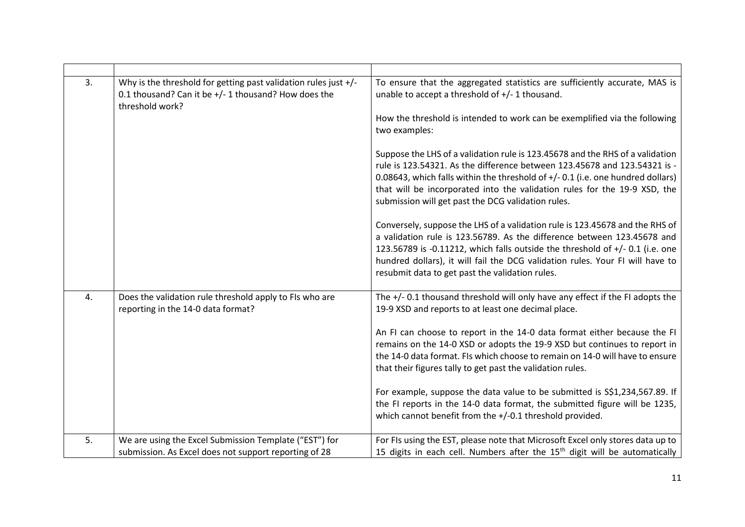| 3. | Why is the threshold for getting past validation rules just $+/-$<br>0.1 thousand? Can it be +/- 1 thousand? How does the<br>threshold work? | To ensure that the aggregated statistics are sufficiently accurate, MAS is<br>unable to accept a threshold of +/- 1 thousand.<br>How the threshold is intended to work can be exemplified via the following<br>two examples:<br>Suppose the LHS of a validation rule is 123.45678 and the RHS of a validation<br>rule is 123.54321. As the difference between 123.45678 and 123.54321 is -<br>0.08643, which falls within the threshold of +/-0.1 (i.e. one hundred dollars)<br>that will be incorporated into the validation rules for the 19-9 XSD, the<br>submission will get past the DCG validation rules.<br>Conversely, suppose the LHS of a validation rule is 123.45678 and the RHS of<br>a validation rule is 123.56789. As the difference between 123.45678 and<br>123.56789 is -0.11212, which falls outside the threshold of $+/-$ 0.1 (i.e. one<br>hundred dollars), it will fail the DCG validation rules. Your FI will have to<br>resubmit data to get past the validation rules. |
|----|----------------------------------------------------------------------------------------------------------------------------------------------|---------------------------------------------------------------------------------------------------------------------------------------------------------------------------------------------------------------------------------------------------------------------------------------------------------------------------------------------------------------------------------------------------------------------------------------------------------------------------------------------------------------------------------------------------------------------------------------------------------------------------------------------------------------------------------------------------------------------------------------------------------------------------------------------------------------------------------------------------------------------------------------------------------------------------------------------------------------------------------------------------|
| 4. | Does the validation rule threshold apply to FIs who are<br>reporting in the 14-0 data format?                                                | The +/- 0.1 thousand threshold will only have any effect if the FI adopts the<br>19-9 XSD and reports to at least one decimal place.<br>An FI can choose to report in the 14-0 data format either because the FI<br>remains on the 14-0 XSD or adopts the 19-9 XSD but continues to report in<br>the 14-0 data format. FIs which choose to remain on 14-0 will have to ensure<br>that their figures tally to get past the validation rules.<br>For example, suppose the data value to be submitted is S\$1,234,567.89. If<br>the FI reports in the 14-0 data format, the submitted figure will be 1235,<br>which cannot benefit from the +/-0.1 threshold provided.                                                                                                                                                                                                                                                                                                                               |
| 5. | We are using the Excel Submission Template ("EST") for<br>submission. As Excel does not support reporting of 28                              | For FIs using the EST, please note that Microsoft Excel only stores data up to<br>15 digits in each cell. Numbers after the 15 <sup>th</sup> digit will be automatically                                                                                                                                                                                                                                                                                                                                                                                                                                                                                                                                                                                                                                                                                                                                                                                                                          |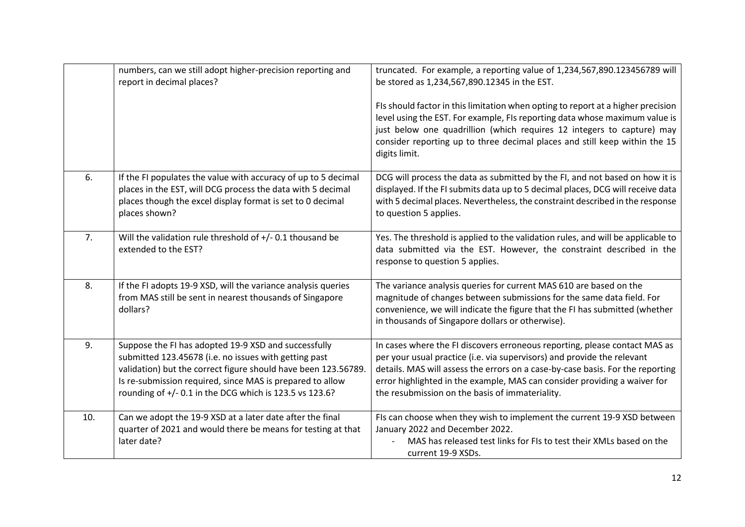|     | numbers, can we still adopt higher-precision reporting and<br>report in decimal places?                                                                                                                                                                                                                 | truncated. For example, a reporting value of 1,234,567,890.123456789 will<br>be stored as 1,234,567,890.12345 in the EST.                                                                                                                                                                                                                                               |
|-----|---------------------------------------------------------------------------------------------------------------------------------------------------------------------------------------------------------------------------------------------------------------------------------------------------------|-------------------------------------------------------------------------------------------------------------------------------------------------------------------------------------------------------------------------------------------------------------------------------------------------------------------------------------------------------------------------|
|     |                                                                                                                                                                                                                                                                                                         | FIs should factor in this limitation when opting to report at a higher precision<br>level using the EST. For example, FIs reporting data whose maximum value is<br>just below one quadrillion (which requires 12 integers to capture) may<br>consider reporting up to three decimal places and still keep within the 15<br>digits limit.                                |
| 6.  | If the FI populates the value with accuracy of up to 5 decimal<br>places in the EST, will DCG process the data with 5 decimal<br>places though the excel display format is set to 0 decimal<br>places shown?                                                                                            | DCG will process the data as submitted by the FI, and not based on how it is<br>displayed. If the FI submits data up to 5 decimal places, DCG will receive data<br>with 5 decimal places. Nevertheless, the constraint described in the response<br>to question 5 applies.                                                                                              |
| 7.  | Will the validation rule threshold of +/- 0.1 thousand be<br>extended to the EST?                                                                                                                                                                                                                       | Yes. The threshold is applied to the validation rules, and will be applicable to<br>data submitted via the EST. However, the constraint described in the<br>response to question 5 applies.                                                                                                                                                                             |
| 8.  | If the FI adopts 19-9 XSD, will the variance analysis queries<br>from MAS still be sent in nearest thousands of Singapore<br>dollars?                                                                                                                                                                   | The variance analysis queries for current MAS 610 are based on the<br>magnitude of changes between submissions for the same data field. For<br>convenience, we will indicate the figure that the FI has submitted (whether<br>in thousands of Singapore dollars or otherwise).                                                                                          |
| 9.  | Suppose the FI has adopted 19-9 XSD and successfully<br>submitted 123.45678 (i.e. no issues with getting past<br>validation) but the correct figure should have been 123.56789.<br>Is re-submission required, since MAS is prepared to allow<br>rounding of +/- 0.1 in the DCG which is 123.5 vs 123.6? | In cases where the FI discovers erroneous reporting, please contact MAS as<br>per your usual practice (i.e. via supervisors) and provide the relevant<br>details. MAS will assess the errors on a case-by-case basis. For the reporting<br>error highlighted in the example, MAS can consider providing a waiver for<br>the resubmission on the basis of immateriality. |
| 10. | Can we adopt the 19-9 XSD at a later date after the final<br>quarter of 2021 and would there be means for testing at that<br>later date?                                                                                                                                                                | FIs can choose when they wish to implement the current 19-9 XSD between<br>January 2022 and December 2022.<br>MAS has released test links for FIs to test their XMLs based on the<br>current 19-9 XSDs.                                                                                                                                                                 |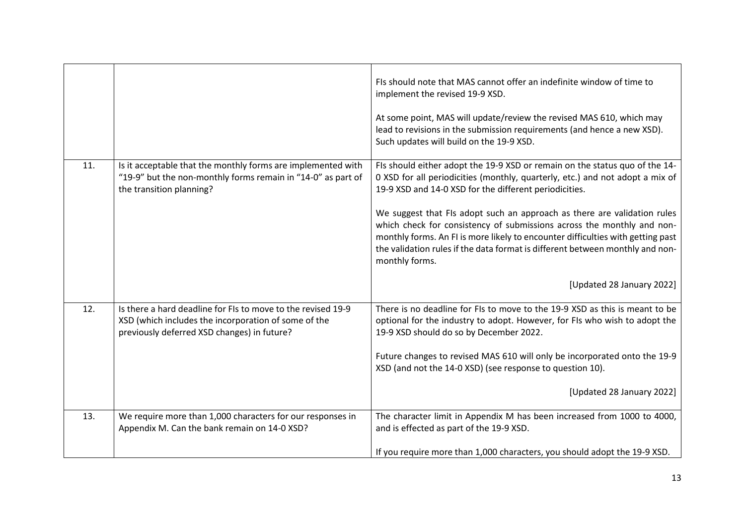|     |                                                                                                                                                                     | FIs should note that MAS cannot offer an indefinite window of time to<br>implement the revised 19-9 XSD.<br>At some point, MAS will update/review the revised MAS 610, which may<br>lead to revisions in the submission requirements (and hence a new XSD).<br>Such updates will build on the 19-9 XSD.                                                                                                                                                                                                                                                            |
|-----|---------------------------------------------------------------------------------------------------------------------------------------------------------------------|--------------------------------------------------------------------------------------------------------------------------------------------------------------------------------------------------------------------------------------------------------------------------------------------------------------------------------------------------------------------------------------------------------------------------------------------------------------------------------------------------------------------------------------------------------------------|
| 11. | Is it acceptable that the monthly forms are implemented with<br>"19-9" but the non-monthly forms remain in "14-0" as part of<br>the transition planning?            | FIs should either adopt the 19-9 XSD or remain on the status quo of the 14-<br>0 XSD for all periodicities (monthly, quarterly, etc.) and not adopt a mix of<br>19-9 XSD and 14-0 XSD for the different periodicities.<br>We suggest that FIs adopt such an approach as there are validation rules<br>which check for consistency of submissions across the monthly and non-<br>monthly forms. An FI is more likely to encounter difficulties with getting past<br>the validation rules if the data format is different between monthly and non-<br>monthly forms. |
|     |                                                                                                                                                                     | [Updated 28 January 2022]                                                                                                                                                                                                                                                                                                                                                                                                                                                                                                                                          |
| 12. | Is there a hard deadline for FIs to move to the revised 19-9<br>XSD (which includes the incorporation of some of the<br>previously deferred XSD changes) in future? | There is no deadline for FIs to move to the 19-9 XSD as this is meant to be<br>optional for the industry to adopt. However, for FIs who wish to adopt the<br>19-9 XSD should do so by December 2022.<br>Future changes to revised MAS 610 will only be incorporated onto the 19-9<br>XSD (and not the 14-0 XSD) (see response to question 10).                                                                                                                                                                                                                     |
|     |                                                                                                                                                                     | [Updated 28 January 2022]                                                                                                                                                                                                                                                                                                                                                                                                                                                                                                                                          |
| 13. | We require more than 1,000 characters for our responses in<br>Appendix M. Can the bank remain on 14-0 XSD?                                                          | The character limit in Appendix M has been increased from 1000 to 4000,<br>and is effected as part of the 19-9 XSD.                                                                                                                                                                                                                                                                                                                                                                                                                                                |
|     |                                                                                                                                                                     | If you require more than 1,000 characters, you should adopt the 19-9 XSD.                                                                                                                                                                                                                                                                                                                                                                                                                                                                                          |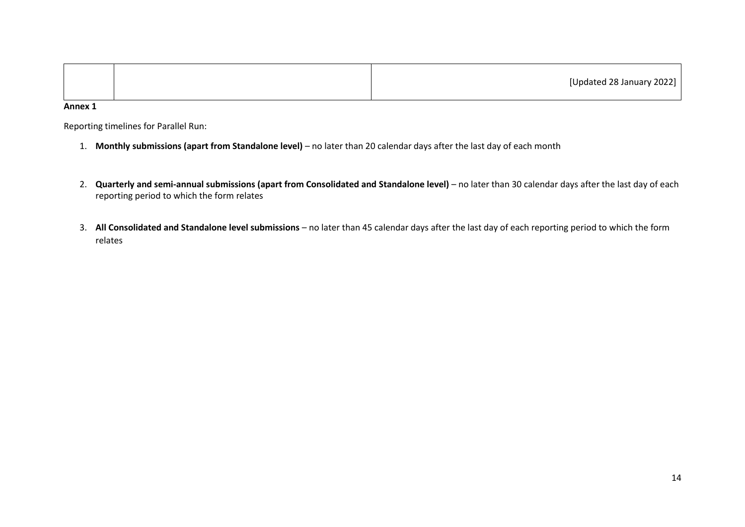|  | [Updated 28 January 2022] |
|--|---------------------------|
|--|---------------------------|

**Annex 1**

Reporting timelines for Parallel Run:

- 1. **Monthly submissions (apart from Standalone level)**  no later than 20 calendar days after the last day of each month
- 2. **Quarterly and semi-annual submissions (apart from Consolidated and Standalone level)** no later than 30 calendar days after the last day of each reporting period to which the form relates
- 3. **All Consolidated and Standalone level submissions** no later than 45 calendar days after the last day of each reporting period to which the form relates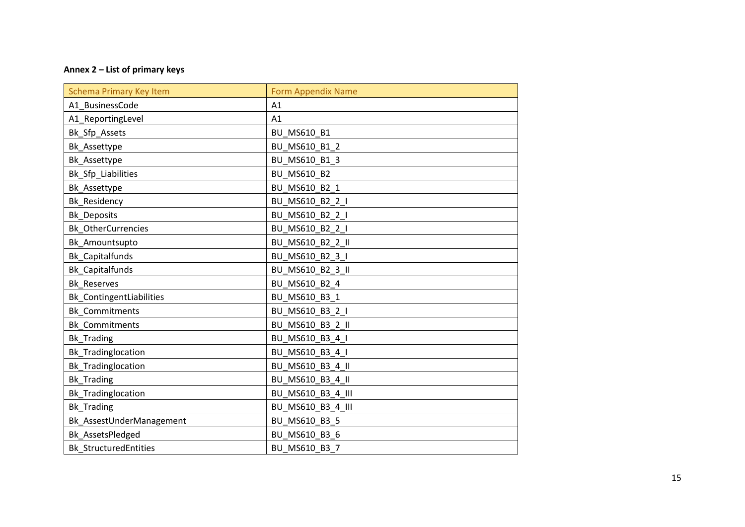## **Annex 2 – List of primary keys**

| <b>Schema Primary Key Item</b> | <b>Form Appendix Name</b> |
|--------------------------------|---------------------------|
| A1 BusinessCode                | A1                        |
| A1_ReportingLevel              | A1                        |
| Bk Sfp Assets                  | BU MS610 B1               |
| Bk_Assettype                   | BU_MS610_B1_2             |
| Bk_Assettype                   | BU MS610 B1 3             |
| Bk_Sfp_Liabilities             | <b>BU MS610 B2</b>        |
| Bk_Assettype                   | BU_MS610_B2_1             |
| <b>Bk Residency</b>            | BU MS610_B2_2_I           |
| <b>Bk Deposits</b>             | BU MS610 B2 2 I           |
| Bk_OtherCurrencies             | BU MS610 B2 2 I           |
| Bk Amountsupto                 | BU MS610 B2 2 II          |
| <b>Bk Capitalfunds</b>         | BU MS610 B2 3 I           |
| <b>Bk_Capitalfunds</b>         | BU_MS610_B2_3_II          |
| <b>Bk Reserves</b>             | BU_MS610_B2_4             |
| Bk_ContingentLiabilities       | BU_MS610_B3_1             |
| Bk_Commitments                 | BU_MS610_B3_2_I           |
| <b>Bk</b> Commitments          | BU_MS610_B3_2_II          |
| <b>Bk_Trading</b>              | BU_MS610_B3_4_I           |
| Bk_Tradinglocation             | BU_MS610_B3_4_I           |
| Bk_Tradinglocation             | BU_MS610_B3_4_II          |
| <b>Bk_Trading</b>              | BU_MS610_B3_4_II          |
| Bk_Tradinglocation             | BU_MS610_B3_4_III         |
| <b>Bk</b> Trading              | BU MS610 B3 4 III         |
| Bk_AssestUnderManagement       | BU_MS610_B3_5             |
| Bk_AssetsPledged               | BU_MS610_B3_6             |
| <b>Bk StructuredEntities</b>   | BU MS610 B3 7             |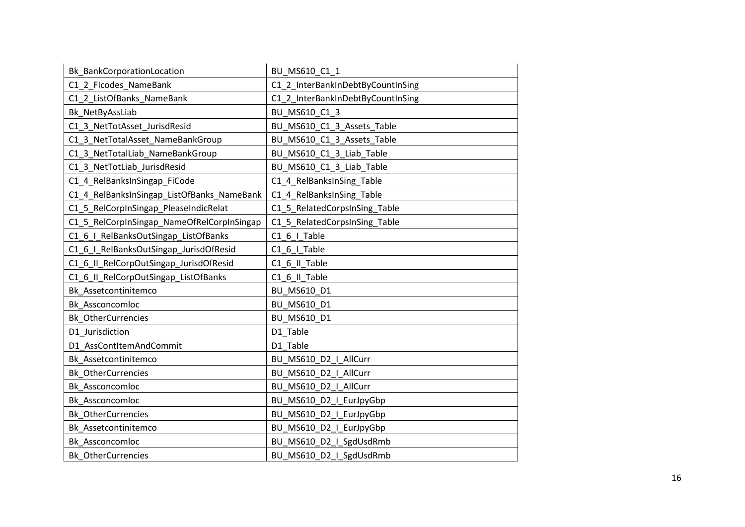| Bk_BankCorporationLocation                 | BU_MS610_C1_1                     |
|--------------------------------------------|-----------------------------------|
| C1_2_FIcodes_NameBank                      | C1_2_InterBankInDebtByCountInSing |
| C1 2 ListOfBanks NameBank                  | C1_2_InterBankInDebtByCountInSing |
| Bk NetByAssLiab                            | BU MS610 C1 3                     |
| C1 3 NetTotAsset JurisdResid               | BU MS610 C1 3 Assets Table        |
| C1 3 NetTotalAsset NameBankGroup           | BU MS610 C1 3 Assets Table        |
| C1_3_NetTotalLiab_NameBankGroup            | BU_MS610_C1_3_Liab_Table          |
| C1 3 NetTotLiab JurisdResid                | BU_MS610_C1_3_Liab_Table          |
| C1_4_RelBanksInSingap_FiCode               | C1 4 RelBanksInSing Table         |
| C1_4_RelBanksInSingap_ListOfBanks_NameBank | C1_4_RelBanksInSing_Table         |
| C1_5_RelCorpInSingap_PleaseIndicRelat      | C1_5_RelatedCorpsInSing_Table     |
| C1_5_RelCorpInSingap_NameOfRelCorpInSingap | C1_5_RelatedCorpsInSing_Table     |
| C1_6_I_RelBanksOutSingap_ListOfBanks       | C1_6_I_Table                      |
| C1_6_I_RelBanksOutSingap_JurisdOfResid     | C1 6 I Table                      |
| C1_6_II_RelCorpOutSingap_JurisdOfResid     | C1_6_II_Table                     |
| C1 6 II RelCorpOutSingap ListOfBanks       | C1 6 II Table                     |
| Bk Assetcontinitemco                       | BU MS610 D1                       |
| Bk_Assconcomloc                            | BU MS610 D1                       |
| <b>Bk_OtherCurrencies</b>                  | BU MS610 D1                       |
| D1 Jurisdiction                            | D1 Table                          |
| D1 AssContItemAndCommit                    | D1 Table                          |
| Bk Assetcontinitemco                       | BU MS610 D2 I AllCurr             |
| <b>Bk OtherCurrencies</b>                  | BU MS610 D2   AllCurr             |
| Bk_Assconcomloc                            | BU_MS610_D2_I_AllCurr             |
| Bk_Assconcomloc                            | BU_MS610_D2_I_EurJpyGbp           |
| <b>Bk_OtherCurrencies</b>                  | BU_MS610_D2_I_EurJpyGbp           |
| Bk Assetcontinitemco                       | BU_MS610_D2_I_EurJpyGbp           |
| Bk Assconcomloc                            | BU_MS610_D2_I_SgdUsdRmb           |
| <b>Bk OtherCurrencies</b>                  | BU MS610 D2 I SgdUsdRmb           |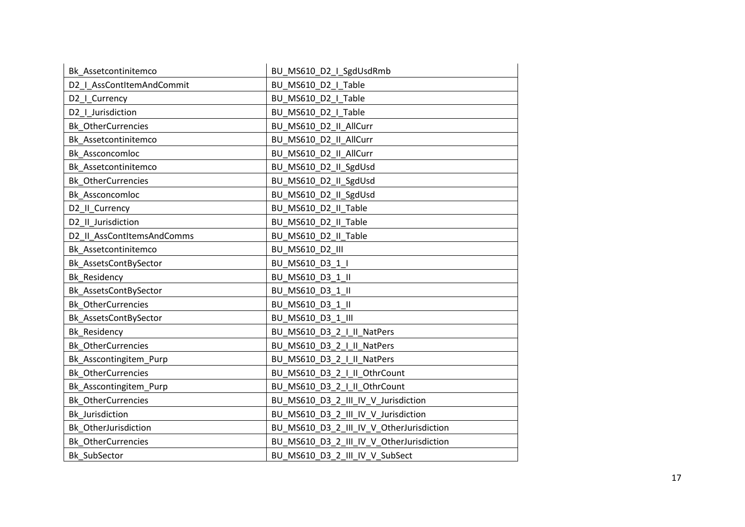| Bk Assetcontinitemco       | BU_MS610_D2_I_SgdUsdRmb                  |
|----------------------------|------------------------------------------|
| D2   AssContItemAndCommit  | BU_MS610_D2_I_Table                      |
| D2   Currency              | BU MS610 D2 I Table                      |
| D2   Jurisdiction          | BU MS610 D2 I Table                      |
| Bk_OtherCurrencies         | BU MS610_D2_II_AllCurr                   |
| Bk Assetcontinitemco       | BU MS610 D2 II AllCurr                   |
| Bk Assconcomloc            | BU MS610 D2 II AllCurr                   |
| Bk Assetcontinitemco       | BU MS610_D2_II_SgdUsd                    |
| <b>Bk_OtherCurrencies</b>  | BU_MS610_D2_II_SgdUsd                    |
| Bk Assconcomloc            | BU_MS610_D2_II_SgdUsd                    |
| D2 II Currency             | BU MS610 D2 II Table                     |
| D2_II_Jurisdiction         | BU_MS610_D2_II_Table                     |
| D2 II AssContItemsAndComms | BU MS610 D2 II Table                     |
| Bk Assetcontinitemco       | <b>BU MS610 D2 III</b>                   |
| Bk_AssetsContBySector      | BU_MS610_D3_1_I                          |
| Bk_Residency               | BU MS610 D3 1 II                         |
| Bk_AssetsContBySector      | BU_MS610_D3_1_II                         |
| <b>Bk OtherCurrencies</b>  | BU_MS610_D3_1_II                         |
| Bk_AssetsContBySector      | BU_MS610_D3_1_III                        |
| Bk_Residency               | BU MS610 D3 2 I II NatPers               |
| <b>Bk OtherCurrencies</b>  | BU_MS610_D3_2_I_II_NatPers               |
| Bk_Asscontingitem_Purp     | BU MS610 D3 2 I II NatPers               |
| <b>Bk OtherCurrencies</b>  | BU_MS610_D3_2_I_II_OthrCount             |
| Bk_Asscontingitem_Purp     | BU_MS610_D3_2_I_II_OthrCount             |
| <b>Bk OtherCurrencies</b>  | BU_MS610_D3_2_III_IV_V_Jurisdiction      |
| <b>Bk</b> Jurisdiction     | BU_MS610_D3_2_III_IV_V_Jurisdiction      |
| Bk OtherJurisdiction       | BU_MS610_D3_2_III_IV_V_OtherJurisdiction |
| <b>Bk_OtherCurrencies</b>  | BU_MS610_D3_2_III_IV_V_OtherJurisdiction |
| Bk SubSector               | BU MS610 D3 2 III IV V SubSect           |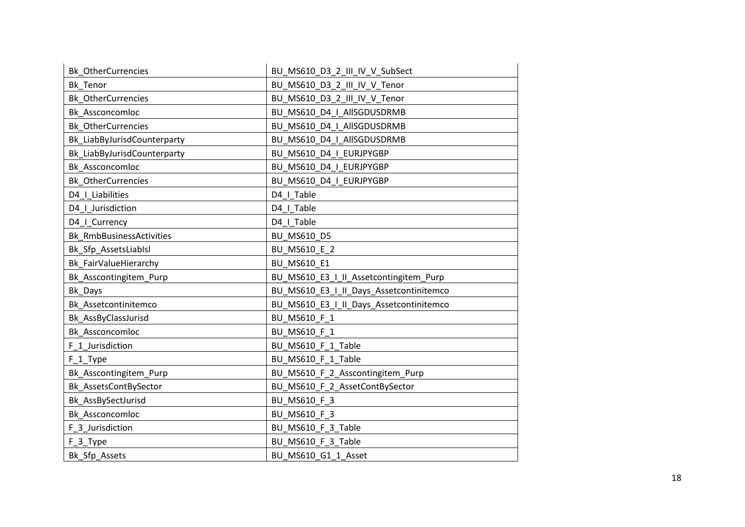| Bk_OtherCurrencies          | BU_MS610_D3_2_III_IV_V_SubSect          |
|-----------------------------|-----------------------------------------|
| Bk_Tenor                    | BU_MS610_D3_2_III_IV_V_Tenor            |
| <b>Bk OtherCurrencies</b>   | BU MS610 D3 2 III IV V Tenor            |
| Bk Assconcomloc             | BU MS610 D4   AllSGDUSDRMB              |
| <b>Bk_OtherCurrencies</b>   | BU MS610 D4   AllSGDUSDRMB              |
| Bk LiabByJurisdCounterparty | BU MS610 D4   AllSGDUSDRMB              |
| Bk_LiabByJurisdCounterparty | BU MS610 D4 I EURJPYGBP                 |
| Bk Assconcomloc             | BU MS610 D4 I EURJPYGBP                 |
| <b>Bk OtherCurrencies</b>   | BU MS610 D4 I EURJPYGBP                 |
| D4   Liabilities            | D4   Table                              |
| D4_I_Jurisdiction           | D4   Table                              |
| D4_I_Currency               | D4   Table                              |
| Bk RmbBusinessActivities    | BU MS610 D5                             |
| Bk_Sfp_AssetsLiabIsl        | BU MS610 E_2                            |
| Bk_FairValueHierarchy       | BU MS610 E1                             |
| Bk_Asscontingitem_Purp      | BU_MS610_E3_I_II_Assetcontingitem_Purp  |
| Bk Days                     | BU_MS610_E3_I_II_Days_Assetcontinitemco |
| Bk Assetcontinitemco        | BU_MS610_E3_I_II_Days_Assetcontinitemco |
| Bk_AssByClassJurisd         | BU MS610 F 1                            |
| Bk Assconcomloc             | BU MS610 F 1                            |
| F_1_Jurisdiction            | BU_MS610_F_1_Table                      |
| F <sub>1</sub> Type         | BU MS610 F 1 Table                      |
| Bk_Asscontingitem_Purp      | BU_MS610_F_2_Asscontingitem_Purp        |
| Bk_AssetsContBySector       | BU_MS610_F_2_AssetContBySector          |
| Bk_AssBySectJurisd          | BU MS610 F 3                            |
| Bk Assconcomloc             | BU MS610 F 3                            |
| F 3 Jurisdiction            | BU_MS610_F_3_Table                      |
| F_3_Type                    | BU MS610 F 3 Table                      |
| Bk Sfp Assets               | BU MS610 G1 1 Asset                     |